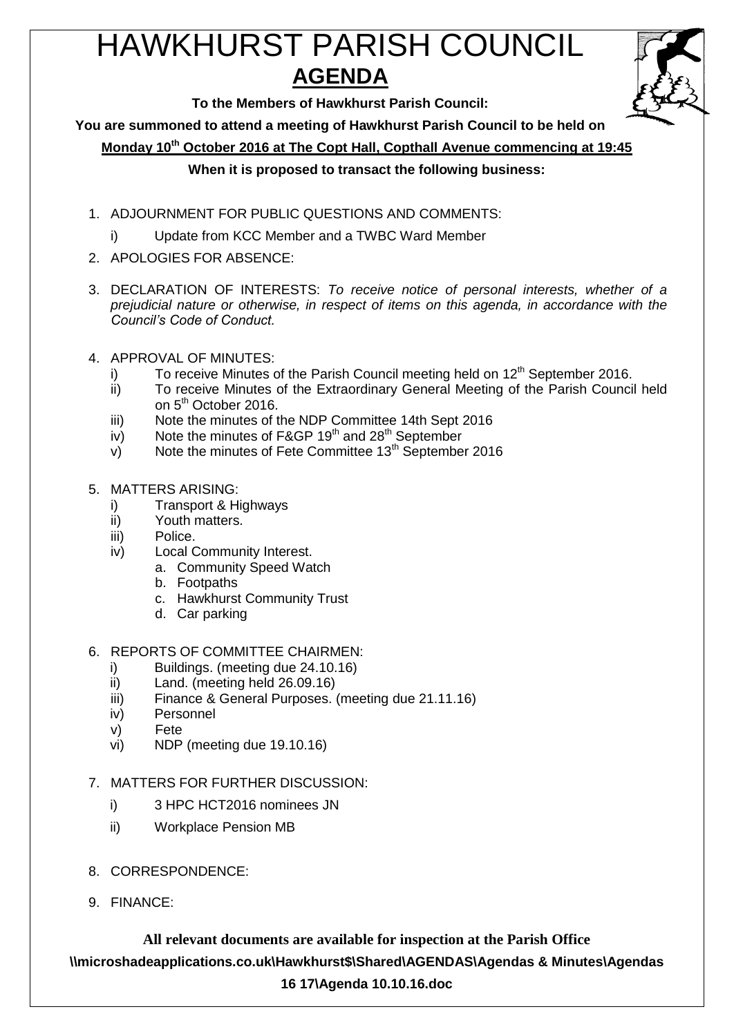# HAWKHURST PARISH COUNCIL **AGENDA**



**To the Members of Hawkhurst Parish Council:**

**You are summoned to attend a meeting of Hawkhurst Parish Council to be held on**

**Monday 10th October 2016 at The Copt Hall, Copthall Avenue commencing at 19:45**

## **When it is proposed to transact the following business:**

- 1. ADJOURNMENT FOR PUBLIC QUESTIONS AND COMMENTS:
	- i) Update from KCC Member and a TWBC Ward Member
- 2. APOLOGIES FOR ABSENCE:
- 3. DECLARATION OF INTERESTS: *To receive notice of personal interests, whether of a prejudicial nature or otherwise, in respect of items on this agenda, in accordance with the Council's Code of Conduct.*
- 4. APPROVAL OF MINUTES:
	- i) To receive Minutes of the Parish Council meeting held on  $12<sup>th</sup>$  September 2016.
	- ii) To receive Minutes of the Extraordinary General Meeting of the Parish Council held on 5<sup>th</sup> October 2016.
	- iii) Note the minutes of the NDP Committee 14th Sept 2016
	- iv) Note the minutes of F&GP  $19<sup>th</sup>$  and  $28<sup>th</sup>$  September
	- $v$ ) Note the minutes of Fete Committee 13<sup>th</sup> September 2016
- 5. MATTERS ARISING:
	- i) Transport & Highways
	- ii) Youth matters.
	- iii) Police.
	- iv) Local Community Interest.
		- a. Community Speed Watch
		- b. Footpaths
		- c. Hawkhurst Community Trust
		- d. Car parking

## 6. REPORTS OF COMMITTEE CHAIRMEN:

- i) Buildings. (meeting due 24.10.16)
- ii) Land. (meeting held 26.09.16)
- iii) Finance & General Purposes. (meeting due 21.11.16)
- iv) Personnel
- v) Fete
- vi) NDP (meeting due 19.10.16)

## 7. MATTERS FOR FURTHER DISCUSSION:

- i) 3 HPC HCT2016 nominees JN
- ii) Workplace Pension MB
- 8. CORRESPONDENCE:
- 9. FINANCE:

**All relevant documents are available for inspection at the Parish Office \\microshadeapplications.co.uk\Hawkhurst\$\Shared\AGENDAS\Agendas & Minutes\Agendas 16 17\Agenda 10.10.16.doc**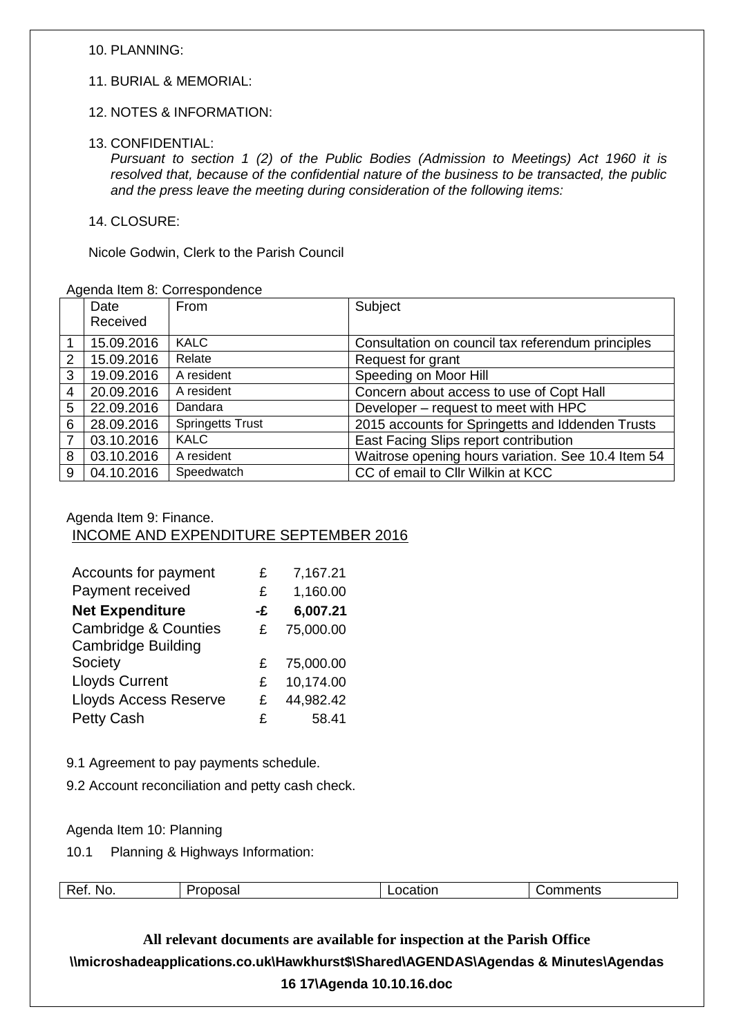10. PLANNING:

- 11. BURIAL & MEMORIAL:
- 12. NOTES & INFORMATION:
- 13. CONFIDENTIAL:

*Pursuant to section 1 (2) of the Public Bodies (Admission to Meetings) Act 1960 it is resolved that, because of the confidential nature of the business to be transacted, the public and the press leave the meeting during consideration of the following items:*

14. CLOSURE:

Nicole Godwin, Clerk to the Parish Council

#### Agenda Item 8: Correspondence

|                | Date       | From                    | Subject                                            |
|----------------|------------|-------------------------|----------------------------------------------------|
|                | Received   |                         |                                                    |
|                | 15.09.2016 | <b>KALC</b>             | Consultation on council tax referendum principles  |
| $\overline{2}$ | 15.09.2016 | Relate                  | Request for grant                                  |
| 3              | 19.09.2016 | A resident              | Speeding on Moor Hill                              |
| $\overline{4}$ | 20.09.2016 | A resident              | Concern about access to use of Copt Hall           |
| 5              | 22.09.2016 | Dandara                 | Developer - request to meet with HPC               |
| 6              | 28.09.2016 | <b>Springetts Trust</b> | 2015 accounts for Springetts and Iddenden Trusts   |
| $\overline{7}$ | 03.10.2016 | <b>KALC</b>             | East Facing Slips report contribution              |
| 8              | 03.10.2016 | A resident              | Waitrose opening hours variation. See 10.4 Item 54 |
| 9              | 04.10.2016 | Speedwatch              | CC of email to Cllr Wilkin at KCC                  |

### Agenda Item 9: Finance.

INCOME AND EXPENDITURE SEPTEMBER 2016

| Accounts for payment            | £  | 7,167.21  |
|---------------------------------|----|-----------|
| Payment received                | £  | 1,160.00  |
| <b>Net Expenditure</b>          | -£ | 6,007.21  |
| <b>Cambridge &amp; Counties</b> | £  | 75,000.00 |
| <b>Cambridge Building</b>       |    |           |
| Society                         | £  | 75,000.00 |
| <b>Lloyds Current</b>           | £  | 10,174.00 |
| <b>Lloyds Access Reserve</b>    | £  | 44,982.42 |
| <b>Petty Cash</b>               | £  | 58.41     |

9.1 Agreement to pay payments schedule.

9.2 Account reconciliation and petty cash check.

Agenda Item 10: Planning

10.1 Planning & Highways Information:

| Ref<br><b>No</b><br>љa | м | ents |
|------------------------|---|------|
|------------------------|---|------|

**All relevant documents are available for inspection at the Parish Office \\microshadeapplications.co.uk\Hawkhurst\$\Shared\AGENDAS\Agendas & Minutes\Agendas 16 17\Agenda 10.10.16.doc**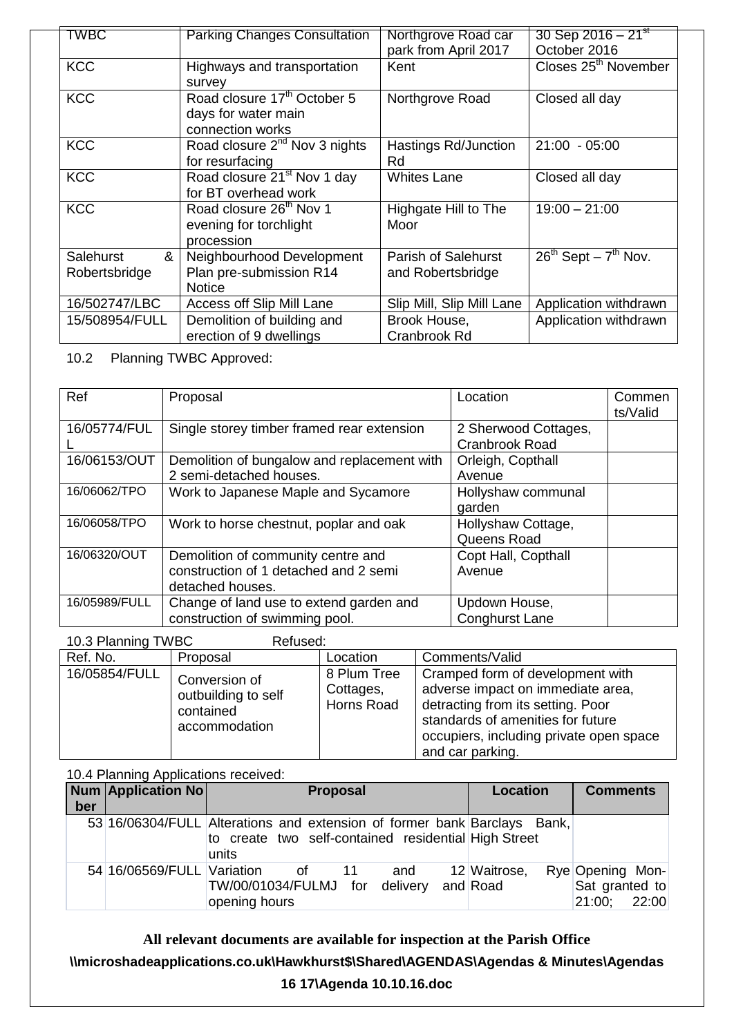| TWBC           | <b>Parking Changes Consultation</b>     | Northgrove Road car        | 30 Sep 2016 – $21^{st}$          |
|----------------|-----------------------------------------|----------------------------|----------------------------------|
|                |                                         | park from April 2017       | October 2016                     |
| <b>KCC</b>     | Highways and transportation             | Kent                       | Closes 25 <sup>th</sup> November |
|                | survey                                  |                            |                                  |
| <b>KCC</b>     | Road closure 17 <sup>th</sup> October 5 | Northgrove Road            | Closed all day                   |
|                | days for water main                     |                            |                                  |
|                | connection works                        |                            |                                  |
| <b>KCC</b>     | Road closure $2^{nd}$ Nov 3 nights      | Hastings Rd/Junction       | $21:00 - 05:00$                  |
|                | for resurfacing                         | Rd                         |                                  |
| <b>KCC</b>     | Road closure 21 <sup>st</sup> Nov 1 day | <b>Whites Lane</b>         | Closed all day                   |
|                | for BT overhead work                    |                            |                                  |
| <b>KCC</b>     | Road closure 26 <sup>th</sup> Nov 1     | Highgate Hill to The       | $19:00 - 21:00$                  |
|                | evening for torchlight                  | Moor                       |                                  |
|                | procession                              |                            |                                  |
| &<br>Salehurst | Neighbourhood Development               | <b>Parish of Salehurst</b> | $26^{th}$ Sept – $7^{th}$ Nov.   |
| Robertsbridge  | Plan pre-submission R14                 | and Robertsbridge          |                                  |
|                | <b>Notice</b>                           |                            |                                  |
| 16/502747/LBC  | Access off Slip Mill Lane               | Slip Mill, Slip Mill Lane  | Application withdrawn            |
| 15/508954/FULL | Demolition of building and              | Brook House,               | Application withdrawn            |
|                | erection of 9 dwellings                 | Cranbrook Rd               |                                  |

10.2 Planning TWBC Approved:

| Ref           | Proposal                                                                                        | Location                               | Commen<br>ts/Valid |
|---------------|-------------------------------------------------------------------------------------------------|----------------------------------------|--------------------|
| 16/05774/FUL  | Single storey timber framed rear extension                                                      | 2 Sherwood Cottages,<br>Cranbrook Road |                    |
| 16/06153/OUT  | Demolition of bungalow and replacement with<br>2 semi-detached houses.                          | Orleigh, Copthall<br>Avenue            |                    |
| 16/06062/TPO  | Work to Japanese Maple and Sycamore                                                             | Hollyshaw communal<br>garden           |                    |
| 16/06058/TPO  | Work to horse chestnut, poplar and oak                                                          | Hollyshaw Cottage,<br>Queens Road      |                    |
| 16/06320/OUT  | Demolition of community centre and<br>construction of 1 detached and 2 semi<br>detached houses. | Copt Hall, Copthall<br>Avenue          |                    |
| 16/05989/FULL | Change of land use to extend garden and<br>construction of swimming pool.                       | Updown House,<br><b>Conghurst Lane</b> |                    |

| 10.3 Planning TWBC<br>Refused: |                                                                    |                                        |                                                                                                                                                                                                                |  |  |
|--------------------------------|--------------------------------------------------------------------|----------------------------------------|----------------------------------------------------------------------------------------------------------------------------------------------------------------------------------------------------------------|--|--|
| Ref. No.                       | Proposal                                                           | Location                               | Comments/Valid                                                                                                                                                                                                 |  |  |
| 16/05854/FULL                  | Conversion of<br>outbuilding to self<br>contained<br>accommodation | 8 Plum Tree<br>Cottages,<br>Horns Road | Cramped form of development with<br>adverse impact on immediate area,<br>detracting from its setting. Poor<br>standards of amenities for future<br>occupiers, including private open space<br>and car parking. |  |  |

10.4 Planning Applications received:

| ber | <b>Num Application No</b>  | <b>Proposal</b>                                                                                                                           | <b>Location</b>          | <b>Comments</b>                                    |
|-----|----------------------------|-------------------------------------------------------------------------------------------------------------------------------------------|--------------------------|----------------------------------------------------|
|     |                            | 53 16/06304/FULL Alterations and extension of former bank Barclays Bank,<br>to create two self-contained residential High Street<br>units |                          |                                                    |
|     | 54 16/06569/FULL Variation | and<br>0f<br>$\overline{\phantom{1}}$ 11<br>TW/00/01034/FULMJ for delivery<br>opening hours                                               | 12 Waitrose,<br>and Road | Rye Opening Mon-<br>Sat granted to<br>21:00; 22:00 |

**All relevant documents are available for inspection at the Parish Office**

**\\microshadeapplications.co.uk\Hawkhurst\$\Shared\AGENDAS\Agendas & Minutes\Agendas** 

#### **16 17\Agenda 10.10.16.doc**